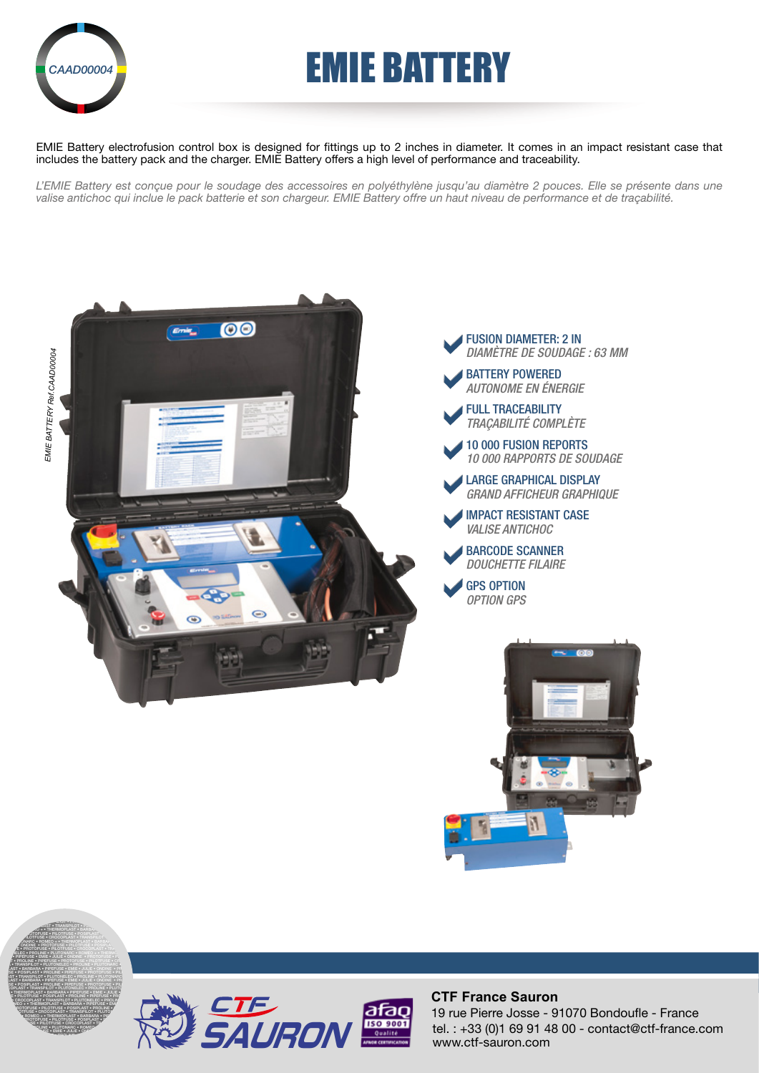

## **EMIE BATTERY**

EMIE Battery electrofusion control box is designed for fittings up to 2 inches in diameter. It comes in an impact resistant case that includes the battery pack and the charger. EMIE Battery offers a high level of performance and traceability.

L'EMIE Battery est conçue pour le soudage des accessoires en polyéthylène jusqu'au diamètre 2 pouces. Elle se présente dans une *valise antichoc qui inclue le pack batterie et son chargeur. EMIE Battery offre un haut niveau de performance et de traçabilité.*









#### **CTF France Sauron**

tel. : +33 (0)1 69 91 48 00 - contact@ctf-france.com www.ctf-sauron.com 19 rue Pierre Josse - 91070 Bondoufle - France